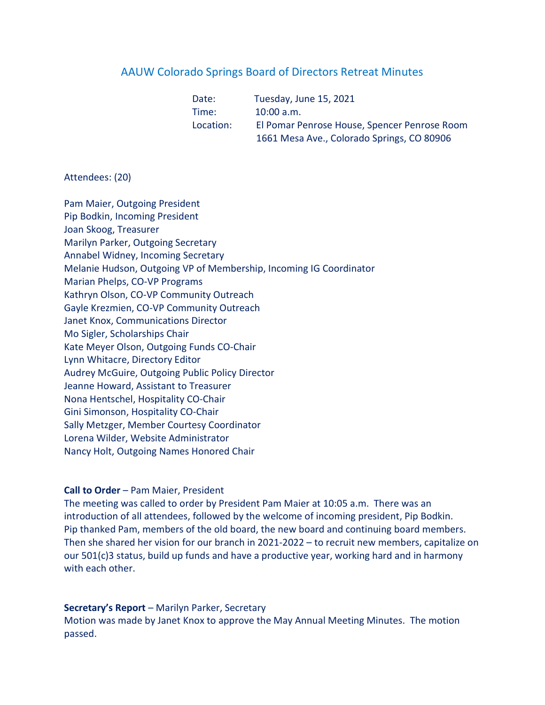# AAUW Colorado Springs Board of Directors Retreat Minutes

| Date:     | Tuesday, June 15, 2021                       |
|-----------|----------------------------------------------|
| Time:     | $10:00$ a.m.                                 |
| Location: | El Pomar Penrose House, Spencer Penrose Room |
|           | 1661 Mesa Ave., Colorado Springs, CO 80906   |

## Attendees: (20)

Pam Maier, Outgoing President Pip Bodkin, Incoming President Joan Skoog, Treasurer Marilyn Parker, Outgoing Secretary Annabel Widney, Incoming Secretary Melanie Hudson, Outgoing VP of Membership, Incoming IG Coordinator Marian Phelps, CO-VP Programs Kathryn Olson, CO-VP Community Outreach Gayle Krezmien, CO-VP Community Outreach Janet Knox, Communications Director Mo Sigler, Scholarships Chair Kate Meyer Olson, Outgoing Funds CO-Chair Lynn Whitacre, Directory Editor Audrey McGuire, Outgoing Public Policy Director Jeanne Howard, Assistant to Treasurer Nona Hentschel, Hospitality CO-Chair Gini Simonson, Hospitality CO-Chair Sally Metzger, Member Courtesy Coordinator Lorena Wilder, Website Administrator Nancy Holt, Outgoing Names Honored Chair

### Call to Order – Pam Maier, President

The meeting was called to order by President Pam Maier at 10:05 a.m. There was an introduction of all attendees, followed by the welcome of incoming president, Pip Bodkin. Pip thanked Pam, members of the old board, the new board and continuing board members. Then she shared her vision for our branch in 2021-2022 – to recruit new members, capitalize on our 501(c)3 status, build up funds and have a productive year, working hard and in harmony with each other.

## Secretary's Report – Marilyn Parker, Secretary

Motion was made by Janet Knox to approve the May Annual Meeting Minutes. The motion passed.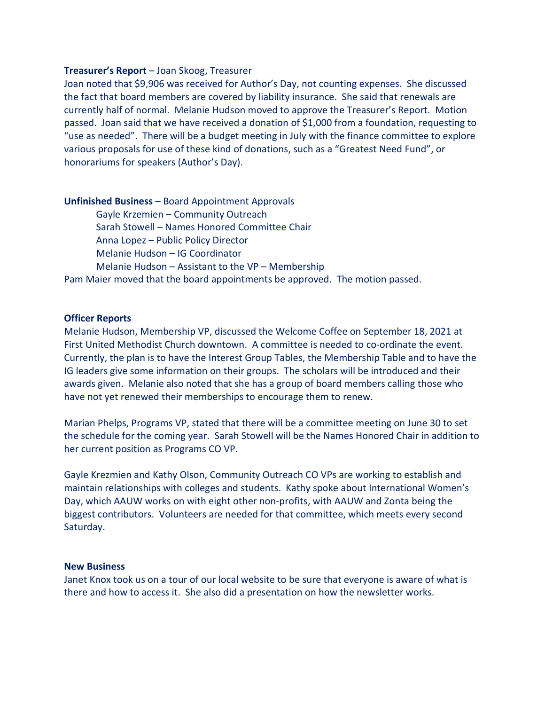#### Treasurer's Report – Joan Skoog, Treasurer

Joan noted that \$9,906 was received for Author's Day, not counting expenses. She discussed the fact that board members are covered by liability insurance. She said that renewals are currently half of normal. Melanie Hudson moved to approve the Treasurer's Report. Motion passed. Joan said that we have received a donation of \$1,000 from a foundation, requesting to "use as needed". There will be a budget meeting in July with the finance committee to explore various proposals for use of these kind of donations, such as a "Greatest Need Fund", or honorariums for speakers (Author's Day).

#### Unfinished Business – Board Appointment Approvals

 Gayle Krzemien – Community Outreach Sarah Stowell – Names Honored Committee Chair Anna Lopez – Public Policy Director Melanie Hudson – IG Coordinator Melanie Hudson – Assistant to the VP – Membership Pam Maier moved that the board appointments be approved. The motion passed.

#### Officer Reports

Melanie Hudson, Membership VP, discussed the Welcome Coffee on September 18, 2021 at First United Methodist Church downtown. A committee is needed to co-ordinate the event. Currently, the plan is to have the Interest Group Tables, the Membership Table and to have the IG leaders give some information on their groups. The scholars will be introduced and their awards given. Melanie also noted that she has a group of board members calling those who have not yet renewed their memberships to encourage them to renew.

Marian Phelps, Programs VP, stated that there will be a committee meeting on June 30 to set the schedule for the coming year. Sarah Stowell will be the Names Honored Chair in addition to her current position as Programs CO VP.

Gayle Krezmien and Kathy Olson, Community Outreach CO VPs are working to establish and maintain relationships with colleges and students. Kathy spoke about International Women's Day, which AAUW works on with eight other non-profits, with AAUW and Zonta being the biggest contributors. Volunteers are needed for that committee, which meets every second Saturday.

#### New Business

Janet Knox took us on a tour of our local website to be sure that everyone is aware of what is there and how to access it. She also did a presentation on how the newsletter works.